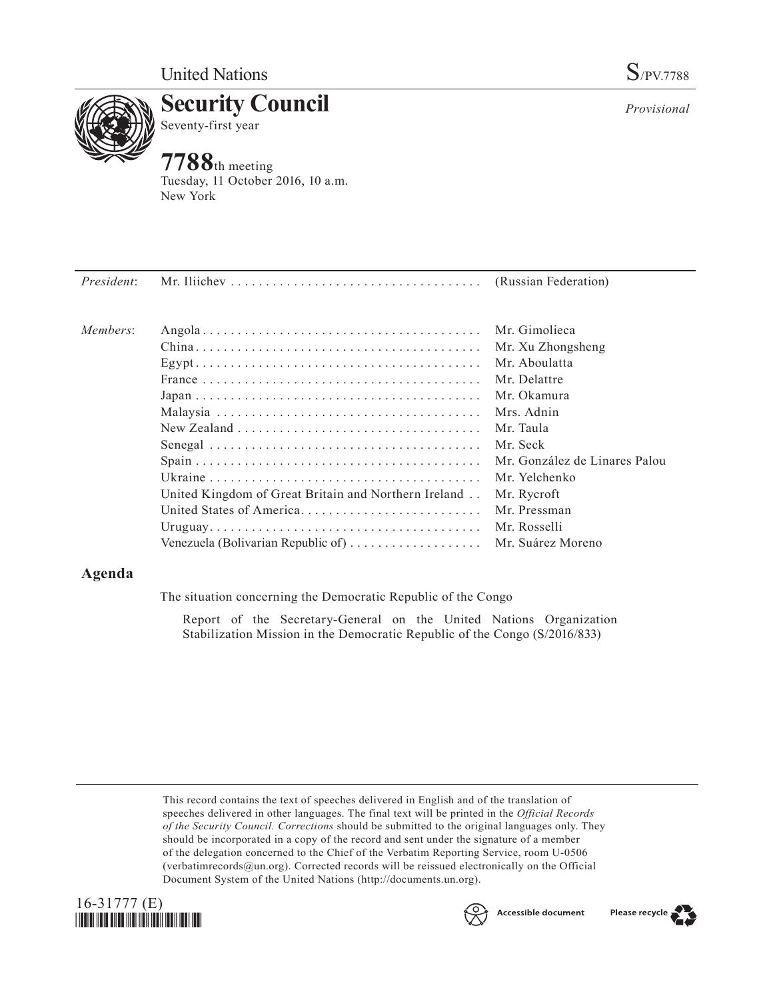

**Security Council** Seventy-first year

# **7788**th meeting

Tuesday, 11 October 2016, 10 a.m. New York

| President: |                                                                                       |                               |
|------------|---------------------------------------------------------------------------------------|-------------------------------|
| Members:   |                                                                                       | Mr. Gimolieca                 |
|            |                                                                                       | Mr. Xu Zhongsheng             |
|            |                                                                                       | Mr. Aboulatta                 |
|            |                                                                                       | Mr. Delattre                  |
|            |                                                                                       | Mr. Okamura                   |
|            |                                                                                       | Mrs. Adnin                    |
|            | $New Zealand \dots \dots \dots \dots \dots \dots \dots \dots \dots \dots \dots \dots$ | Mr. Taula                     |
|            |                                                                                       | Mr. Seck                      |
|            |                                                                                       | Mr. González de Linares Palou |
|            |                                                                                       | Mr. Yelchenko                 |
|            | United Kingdom of Great Britain and Northern Ireland                                  | Mr. Rycroft                   |
|            | United States of America                                                              | Mr. Pressman                  |
|            |                                                                                       | Mr. Rosselli                  |
|            | Venezuela (Bolivarian Republic of)  Mr. Suárez Moreno                                 |                               |

## **Agenda**

The situation concerning the Democratic Republic of the Congo

Report of the Secretary-General on the United Nations Organization Stabilization Mission in the Democratic Republic of the Congo (S/2016/833)

This record contains the text of speeches delivered in English and of the translation of speeches delivered in other languages. The final text will be printed in the *Official Records of the Security Council. Corrections* should be submitted to the original languages only. They should be incorporated in a copy of the record and sent under the signature of a member of the delegation concerned to the Chief of the Verbatim Reporting Service, room U-0506 (verbatimrecords $@un.org$ ). Corrected records will be reissued electronically on the Official Document System of the United Nations [\(http://documents.un.org\)](http://documents.un.org).





Accessible document



*Provisional*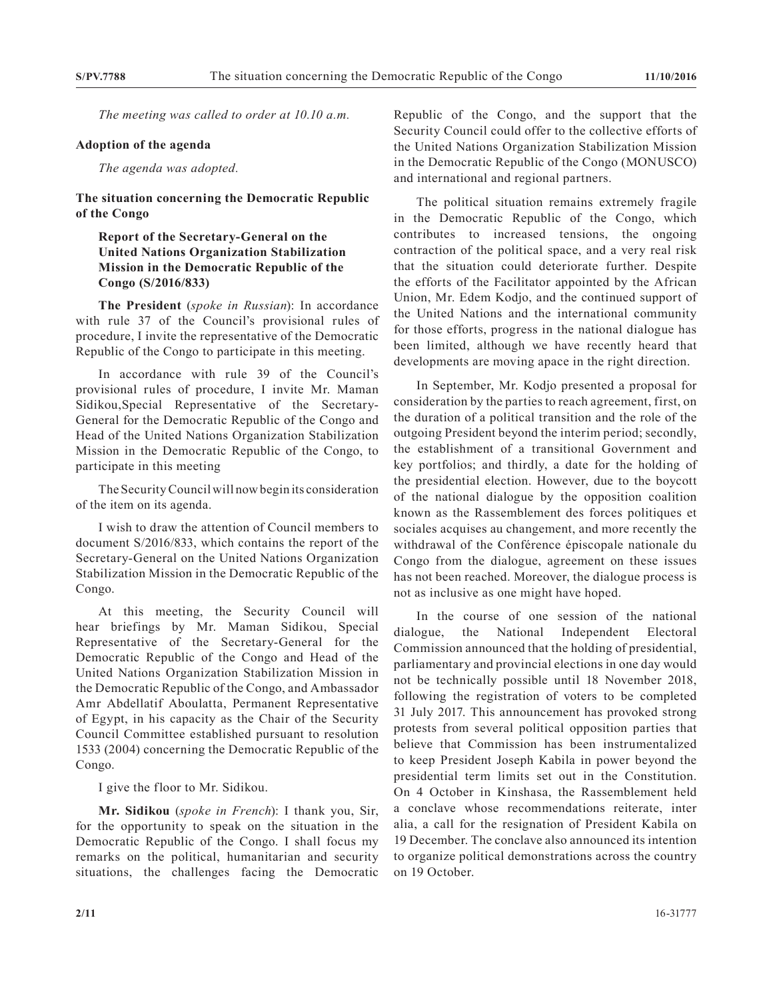*The meeting was called to order at 10.10 a.m.*

## **Adoption of the agenda**

*The agenda was adopted.*

**The situation concerning the Democratic Republic of the Congo**

## **Report of the Secretary-General on the United Nations Organization Stabilization Mission in the Democratic Republic of the Congo (S/2016/833)**

**The President** (*spoke in Russian*): In accordance with rule 37 of the Council's provisional rules of procedure, I invite the representative of the Democratic Republic of the Congo to participate in this meeting.

In accordance with rule 39 of the Council's provisional rules of procedure, I invite Mr. Maman Sidikou,Special Representative of the Secretary-General for the Democratic Republic of the Congo and Head of the United Nations Organization Stabilization Mission in the Democratic Republic of the Congo, to participate in this meeting

The Security Council will now begin its consideration of the item on its agenda.

I wish to draw the attention of Council members to document S/2016/833, which contains the report of the Secretary-General on the United Nations Organization Stabilization Mission in the Democratic Republic of the Congo.

At this meeting, the Security Council will hear briefings by Mr. Maman Sidikou, Special Representative of the Secretary-General for the Democratic Republic of the Congo and Head of the United Nations Organization Stabilization Mission in the Democratic Republic of the Congo, and Ambassador Amr Abdellatif Aboulatta, Permanent Representative of Egypt, in his capacity as the Chair of the Security Council Committee established pursuant to resolution 1533 (2004) concerning the Democratic Republic of the Congo.

I give the floor to Mr. Sidikou.

**Mr. Sidikou** (*spoke in French*): I thank you, Sir, for the opportunity to speak on the situation in the Democratic Republic of the Congo. I shall focus my remarks on the political, humanitarian and security situations, the challenges facing the Democratic

Republic of the Congo, and the support that the Security Council could offer to the collective efforts of the United Nations Organization Stabilization Mission in the Democratic Republic of the Congo (MONUSCO) and international and regional partners.

The political situation remains extremely fragile in the Democratic Republic of the Congo, which contributes to increased tensions, the ongoing contraction of the political space, and a very real risk that the situation could deteriorate further. Despite the efforts of the Facilitator appointed by the African Union, Mr. Edem Kodjo, and the continued support of the United Nations and the international community for those efforts, progress in the national dialogue has been limited, although we have recently heard that developments are moving apace in the right direction.

In September, Mr. Kodjo presented a proposal for consideration by the parties to reach agreement, first, on the duration of a political transition and the role of the outgoing President beyond the interim period; secondly, the establishment of a transitional Government and key portfolios; and thirdly, a date for the holding of the presidential election. However, due to the boycott of the national dialogue by the opposition coalition known as the Rassemblement des forces politiques et sociales acquises au changement, and more recently the withdrawal of the Conférence épiscopale nationale du Congo from the dialogue, agreement on these issues has not been reached. Moreover, the dialogue process is not as inclusive as one might have hoped.

In the course of one session of the national dialogue, the National Independent Electoral Commission announced that the holding of presidential, parliamentary and provincial elections in one day would not be technically possible until 18 November 2018, following the registration of voters to be completed 31 July 2017. This announcement has provoked strong protests from several political opposition parties that believe that Commission has been instrumentalized to keep President Joseph Kabila in power beyond the presidential term limits set out in the Constitution. On 4 October in Kinshasa, the Rassemblement held a conclave whose recommendations reiterate, inter alia, a call for the resignation of President Kabila on 19 December. The conclave also announced its intention to organize political demonstrations across the country on 19 October.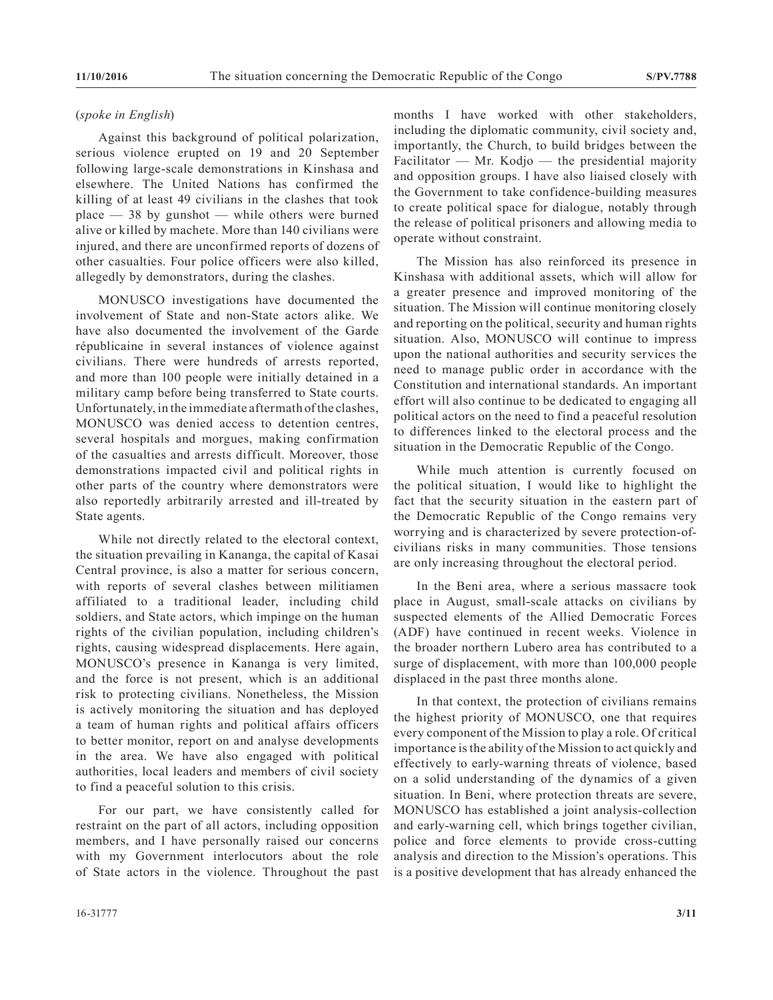#### (*spoke in English*)

Against this background of political polarization, serious violence erupted on 19 and 20 September following large-scale demonstrations in Kinshasa and elsewhere. The United Nations has confirmed the killing of at least 49 civilians in the clashes that took place  $-38$  by gunshot  $-$  while others were burned alive or killed by machete. More than 140 civilians were injured, and there are unconfirmed reports of dozens of other casualties. Four police officers were also killed, allegedly by demonstrators, during the clashes.

MONUSCO investigations have documented the involvement of State and non-State actors alike. We have also documented the involvement of the Garde républicaine in several instances of violence against civilians. There were hundreds of arrests reported, and more than 100 people were initially detained in a military camp before being transferred to State courts. Unfortunately, in the immediate aftermath of the clashes, MONUSCO was denied access to detention centres, several hospitals and morgues, making confirmation of the casualties and arrests difficult. Moreover, those demonstrations impacted civil and political rights in other parts of the country where demonstrators were also reportedly arbitrarily arrested and ill-treated by State agents.

While not directly related to the electoral context, the situation prevailing in Kananga, the capital of Kasai Central province, is also a matter for serious concern, with reports of several clashes between militiamen affiliated to a traditional leader, including child soldiers, and State actors, which impinge on the human rights of the civilian population, including children's rights, causing widespread displacements. Here again, MONUSCO's presence in Kananga is very limited, and the force is not present, which is an additional risk to protecting civilians. Nonetheless, the Mission is actively monitoring the situation and has deployed a team of human rights and political affairs officers to better monitor, report on and analyse developments in the area. We have also engaged with political authorities, local leaders and members of civil society to find a peaceful solution to this crisis.

For our part, we have consistently called for restraint on the part of all actors, including opposition members, and I have personally raised our concerns with my Government interlocutors about the role of State actors in the violence. Throughout the past months I have worked with other stakeholders, including the diplomatic community, civil society and, importantly, the Church, to build bridges between the Facilitator — Mr. Kodjo — the presidential majority and opposition groups. I have also liaised closely with the Government to take confidence-building measures to create political space for dialogue, notably through the release of political prisoners and allowing media to operate without constraint.

The Mission has also reinforced its presence in Kinshasa with additional assets, which will allow for a greater presence and improved monitoring of the situation. The Mission will continue monitoring closely and reporting on the political, security and human rights situation. Also, MONUSCO will continue to impress upon the national authorities and security services the need to manage public order in accordance with the Constitution and international standards. An important effort will also continue to be dedicated to engaging all political actors on the need to find a peaceful resolution to differences linked to the electoral process and the situation in the Democratic Republic of the Congo.

While much attention is currently focused on the political situation, I would like to highlight the fact that the security situation in the eastern part of the Democratic Republic of the Congo remains very worrying and is characterized by severe protection-ofcivilians risks in many communities. Those tensions are only increasing throughout the electoral period.

In the Beni area, where a serious massacre took place in August, small-scale attacks on civilians by suspected elements of the Allied Democratic Forces (ADF) have continued in recent weeks. Violence in the broader northern Lubero area has contributed to a surge of displacement, with more than 100,000 people displaced in the past three months alone.

In that context, the protection of civilians remains the highest priority of MONUSCO, one that requires every component of the Mission to play a role. Of critical importance is the ability of the Mission to act quickly and effectively to early-warning threats of violence, based on a solid understanding of the dynamics of a given situation. In Beni, where protection threats are severe, MONUSCO has established a joint analysis-collection and early-warning cell, which brings together civilian, police and force elements to provide cross-cutting analysis and direction to the Mission's operations. This is a positive development that has already enhanced the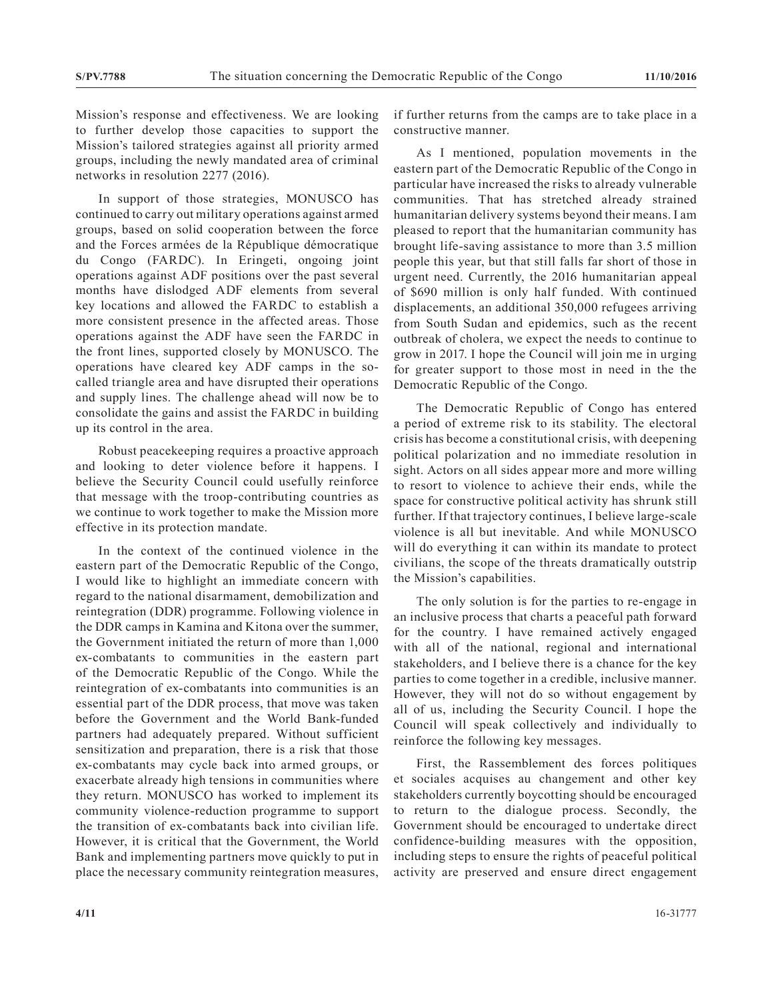Mission's response and effectiveness. We are looking to further develop those capacities to support the Mission's tailored strategies against all priority armed groups, including the newly mandated area of criminal networks in resolution 2277 (2016).

In support of those strategies, MONUSCO has continued to carry out military operations against armed groups, based on solid cooperation between the force and the Forces armées de la République démocratique du Congo (FARDC). In Eringeti, ongoing joint operations against ADF positions over the past several months have dislodged ADF elements from several key locations and allowed the FARDC to establish a more consistent presence in the affected areas. Those operations against the ADF have seen the FARDC in the front lines, supported closely by MONUSCO. The operations have cleared key ADF camps in the socalled triangle area and have disrupted their operations and supply lines. The challenge ahead will now be to consolidate the gains and assist the FARDC in building up its control in the area.

Robust peacekeeping requires a proactive approach and looking to deter violence before it happens. I believe the Security Council could usefully reinforce that message with the troop-contributing countries as we continue to work together to make the Mission more effective in its protection mandate.

In the context of the continued violence in the eastern part of the Democratic Republic of the Congo, I would like to highlight an immediate concern with regard to the national disarmament, demobilization and reintegration (DDR) programme. Following violence in the DDR camps in Kamina and Kitona over the summer, the Government initiated the return of more than 1,000 ex-combatants to communities in the eastern part of the Democratic Republic of the Congo. While the reintegration of ex-combatants into communities is an essential part of the DDR process, that move was taken before the Government and the World Bank-funded partners had adequately prepared. Without sufficient sensitization and preparation, there is a risk that those ex-combatants may cycle back into armed groups, or exacerbate already high tensions in communities where they return. MONUSCO has worked to implement its community violence-reduction programme to support the transition of ex-combatants back into civilian life. However, it is critical that the Government, the World Bank and implementing partners move quickly to put in place the necessary community reintegration measures,

if further returns from the camps are to take place in a constructive manner.

As I mentioned, population movements in the eastern part of the Democratic Republic of the Congo in particular have increased the risks to already vulnerable communities. That has stretched already strained humanitarian delivery systems beyond their means. I am pleased to report that the humanitarian community has brought life-saving assistance to more than 3.5 million people this year, but that still falls far short of those in urgent need. Currently, the 2016 humanitarian appeal of \$690 million is only half funded. With continued displacements, an additional 350,000 refugees arriving from South Sudan and epidemics, such as the recent outbreak of cholera, we expect the needs to continue to grow in 2017. I hope the Council will join me in urging for greater support to those most in need in the the Democratic Republic of the Congo.

The Democratic Republic of Congo has entered a period of extreme risk to its stability. The electoral crisis has become a constitutional crisis, with deepening political polarization and no immediate resolution in sight. Actors on all sides appear more and more willing to resort to violence to achieve their ends, while the space for constructive political activity has shrunk still further. If that trajectory continues, I believe large-scale violence is all but inevitable. And while MONUSCO will do everything it can within its mandate to protect civilians, the scope of the threats dramatically outstrip the Mission's capabilities.

The only solution is for the parties to re-engage in an inclusive process that charts a peaceful path forward for the country. I have remained actively engaged with all of the national, regional and international stakeholders, and I believe there is a chance for the key parties to come together in a credible, inclusive manner. However, they will not do so without engagement by all of us, including the Security Council. I hope the Council will speak collectively and individually to reinforce the following key messages.

First, the Rassemblement des forces politiques et sociales acquises au changement and other key stakeholders currently boycotting should be encouraged to return to the dialogue process. Secondly, the Government should be encouraged to undertake direct confidence-building measures with the opposition, including steps to ensure the rights of peaceful political activity are preserved and ensure direct engagement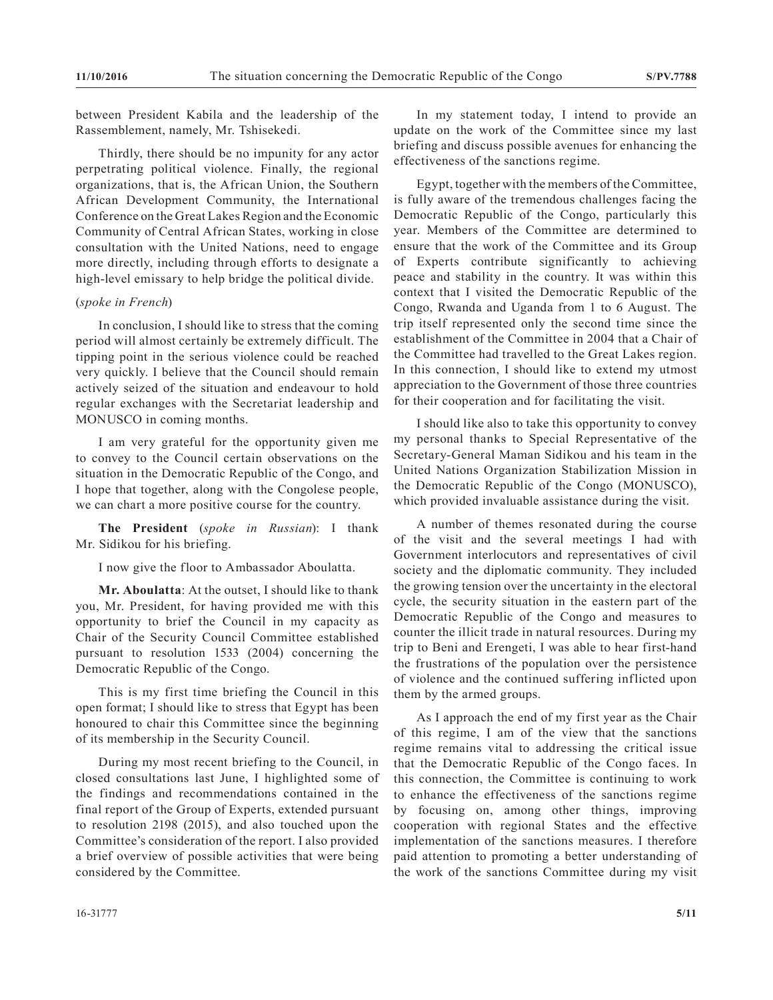between President Kabila and the leadership of the Rassemblement, namely, Mr. Tshisekedi.

Thirdly, there should be no impunity for any actor perpetrating political violence. Finally, the regional organizations, that is, the African Union, the Southern African Development Community, the International Conference on the Great Lakes Region and the Economic Community of Central African States, working in close consultation with the United Nations, need to engage more directly, including through efforts to designate a high-level emissary to help bridge the political divide.

## (*spoke in French*)

In conclusion, I should like to stress that the coming period will almost certainly be extremely difficult. The tipping point in the serious violence could be reached very quickly. I believe that the Council should remain actively seized of the situation and endeavour to hold regular exchanges with the Secretariat leadership and MONUSCO in coming months.

I am very grateful for the opportunity given me to convey to the Council certain observations on the situation in the Democratic Republic of the Congo, and I hope that together, along with the Congolese people, we can chart a more positive course for the country.

**The President** (*spoke in Russian*): I thank Mr. Sidikou for his briefing.

I now give the floor to Ambassador Aboulatta.

**Mr. Aboulatta**: At the outset, I should like to thank you, Mr. President, for having provided me with this opportunity to brief the Council in my capacity as Chair of the Security Council Committee established pursuant to resolution 1533 (2004) concerning the Democratic Republic of the Congo.

This is my first time briefing the Council in this open format; I should like to stress that Egypt has been honoured to chair this Committee since the beginning of its membership in the Security Council.

During my most recent briefing to the Council, in closed consultations last June, I highlighted some of the findings and recommendations contained in the final report of the Group of Experts, extended pursuant to resolution 2198 (2015), and also touched upon the Committee's consideration of the report. I also provided a brief overview of possible activities that were being considered by the Committee.

In my statement today, I intend to provide an update on the work of the Committee since my last briefing and discuss possible avenues for enhancing the effectiveness of the sanctions regime.

Egypt, together with the members of the Committee, is fully aware of the tremendous challenges facing the Democratic Republic of the Congo, particularly this year. Members of the Committee are determined to ensure that the work of the Committee and its Group of Experts contribute significantly to achieving peace and stability in the country. It was within this context that I visited the Democratic Republic of the Congo, Rwanda and Uganda from 1 to 6 August. The trip itself represented only the second time since the establishment of the Committee in 2004 that a Chair of the Committee had travelled to the Great Lakes region. In this connection, I should like to extend my utmost appreciation to the Government of those three countries for their cooperation and for facilitating the visit.

I should like also to take this opportunity to convey my personal thanks to Special Representative of the Secretary-General Maman Sidikou and his team in the United Nations Organization Stabilization Mission in the Democratic Republic of the Congo (MONUSCO), which provided invaluable assistance during the visit.

A number of themes resonated during the course of the visit and the several meetings I had with Government interlocutors and representatives of civil society and the diplomatic community. They included the growing tension over the uncertainty in the electoral cycle, the security situation in the eastern part of the Democratic Republic of the Congo and measures to counter the illicit trade in natural resources. During my trip to Beni and Erengeti, I was able to hear first-hand the frustrations of the population over the persistence of violence and the continued suffering inflicted upon them by the armed groups.

As I approach the end of my first year as the Chair of this regime, I am of the view that the sanctions regime remains vital to addressing the critical issue that the Democratic Republic of the Congo faces. In this connection, the Committee is continuing to work to enhance the effectiveness of the sanctions regime by focusing on, among other things, improving cooperation with regional States and the effective implementation of the sanctions measures. I therefore paid attention to promoting a better understanding of the work of the sanctions Committee during my visit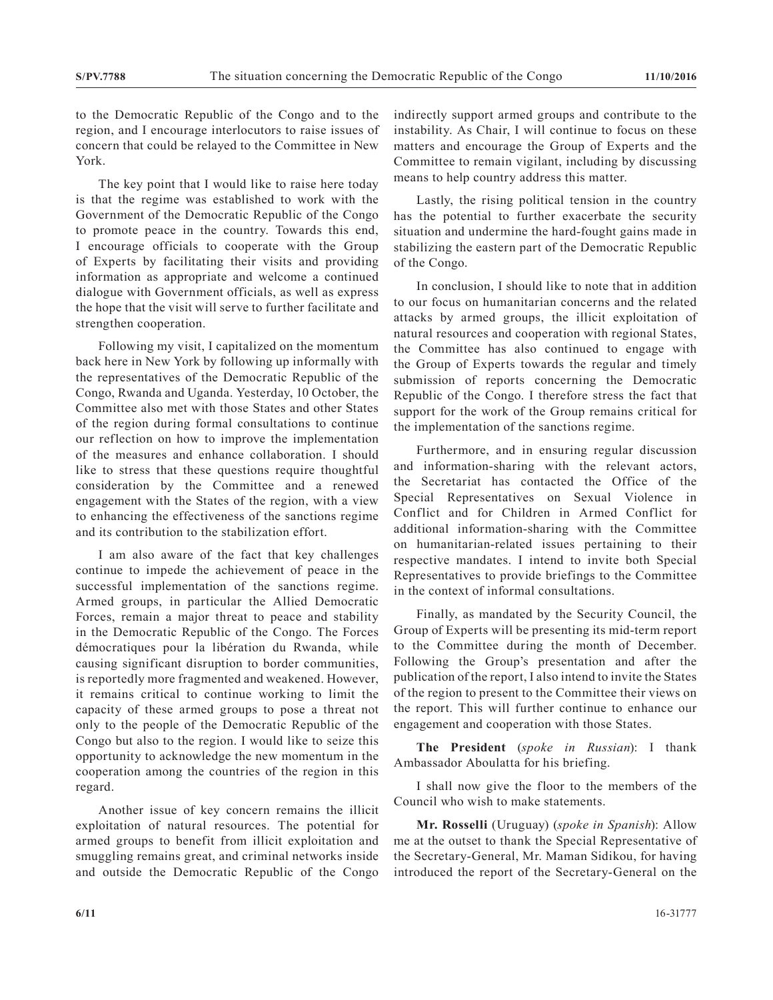to the Democratic Republic of the Congo and to the region, and I encourage interlocutors to raise issues of concern that could be relayed to the Committee in New York.

The key point that I would like to raise here today is that the regime was established to work with the Government of the Democratic Republic of the Congo to promote peace in the country. Towards this end, I encourage officials to cooperate with the Group of Experts by facilitating their visits and providing information as appropriate and welcome a continued dialogue with Government officials, as well as express the hope that the visit will serve to further facilitate and strengthen cooperation.

Following my visit, I capitalized on the momentum back here in New York by following up informally with the representatives of the Democratic Republic of the Congo, Rwanda and Uganda. Yesterday, 10 October, the Committee also met with those States and other States of the region during formal consultations to continue our reflection on how to improve the implementation of the measures and enhance collaboration. I should like to stress that these questions require thoughtful consideration by the Committee and a renewed engagement with the States of the region, with a view to enhancing the effectiveness of the sanctions regime and its contribution to the stabilization effort.

I am also aware of the fact that key challenges continue to impede the achievement of peace in the successful implementation of the sanctions regime. Armed groups, in particular the Allied Democratic Forces, remain a major threat to peace and stability in the Democratic Republic of the Congo. The Forces démocratiques pour la libération du Rwanda, while causing significant disruption to border communities, is reportedly more fragmented and weakened. However, it remains critical to continue working to limit the capacity of these armed groups to pose a threat not only to the people of the Democratic Republic of the Congo but also to the region. I would like to seize this opportunity to acknowledge the new momentum in the cooperation among the countries of the region in this regard.

Another issue of key concern remains the illicit exploitation of natural resources. The potential for armed groups to benefit from illicit exploitation and smuggling remains great, and criminal networks inside and outside the Democratic Republic of the Congo

indirectly support armed groups and contribute to the instability. As Chair, I will continue to focus on these matters and encourage the Group of Experts and the Committee to remain vigilant, including by discussing means to help country address this matter.

Lastly, the rising political tension in the country has the potential to further exacerbate the security situation and undermine the hard-fought gains made in stabilizing the eastern part of the Democratic Republic of the Congo.

In conclusion, I should like to note that in addition to our focus on humanitarian concerns and the related attacks by armed groups, the illicit exploitation of natural resources and cooperation with regional States, the Committee has also continued to engage with the Group of Experts towards the regular and timely submission of reports concerning the Democratic Republic of the Congo. I therefore stress the fact that support for the work of the Group remains critical for the implementation of the sanctions regime.

Furthermore, and in ensuring regular discussion and information-sharing with the relevant actors, the Secretariat has contacted the Office of the Special Representatives on Sexual Violence in Conflict and for Children in Armed Conflict for additional information-sharing with the Committee on humanitarian-related issues pertaining to their respective mandates. I intend to invite both Special Representatives to provide briefings to the Committee in the context of informal consultations.

Finally, as mandated by the Security Council, the Group of Experts will be presenting its mid-term report to the Committee during the month of December. Following the Group's presentation and after the publication of the report, I also intend to invite the States of the region to present to the Committee their views on the report. This will further continue to enhance our engagement and cooperation with those States.

**The President** (*spoke in Russian*): I thank Ambassador Aboulatta for his briefing.

I shall now give the floor to the members of the Council who wish to make statements.

**Mr. Rosselli** (Uruguay) (*spoke in Spanish*): Allow me at the outset to thank the Special Representative of the Secretary-General, Mr. Maman Sidikou, for having introduced the report of the Secretary-General on the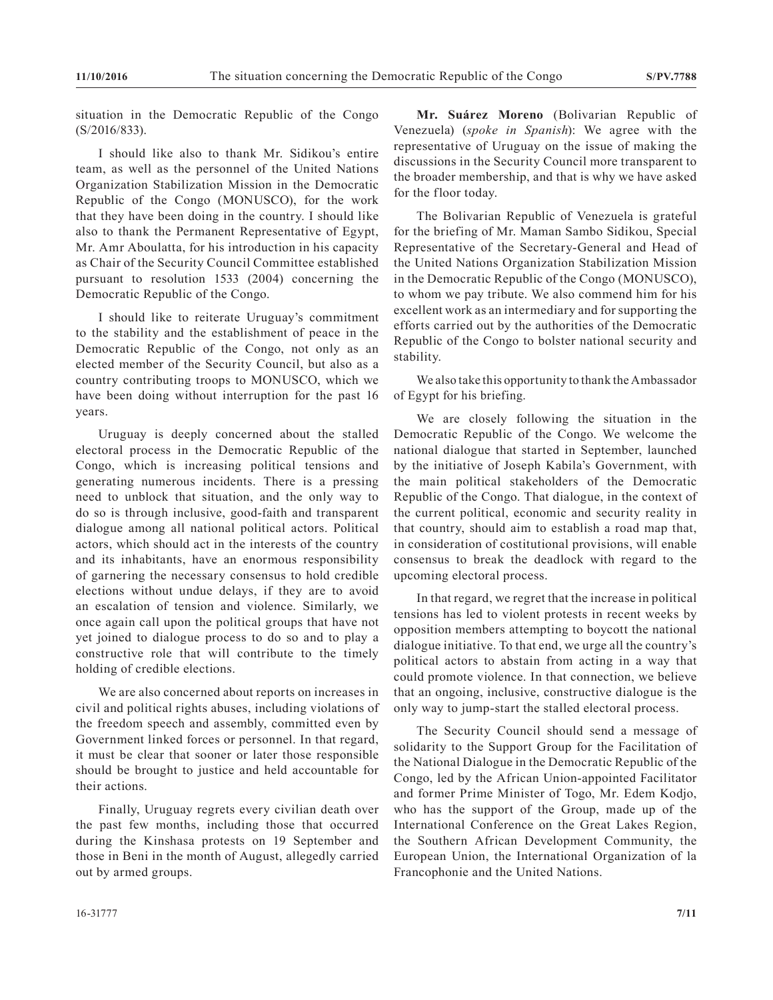situation in the Democratic Republic of the Congo (S/2016/833).

I should like also to thank Mr. Sidikou's entire team, as well as the personnel of the United Nations Organization Stabilization Mission in the Democratic Republic of the Congo (MONUSCO), for the work that they have been doing in the country. I should like also to thank the Permanent Representative of Egypt, Mr. Amr Aboulatta, for his introduction in his capacity as Chair of the Security Council Committee established pursuant to resolution 1533 (2004) concerning the Democratic Republic of the Congo.

I should like to reiterate Uruguay's commitment to the stability and the establishment of peace in the Democratic Republic of the Congo, not only as an elected member of the Security Council, but also as a country contributing troops to MONUSCO, which we have been doing without interruption for the past 16 years.

Uruguay is deeply concerned about the stalled electoral process in the Democratic Republic of the Congo, which is increasing political tensions and generating numerous incidents. There is a pressing need to unblock that situation, and the only way to do so is through inclusive, good-faith and transparent dialogue among all national political actors. Political actors, which should act in the interests of the country and its inhabitants, have an enormous responsibility of garnering the necessary consensus to hold credible elections without undue delays, if they are to avoid an escalation of tension and violence. Similarly, we once again call upon the political groups that have not yet joined to dialogue process to do so and to play a constructive role that will contribute to the timely holding of credible elections.

We are also concerned about reports on increases in civil and political rights abuses, including violations of the freedom speech and assembly, committed even by Government linked forces or personnel. In that regard, it must be clear that sooner or later those responsible should be brought to justice and held accountable for their actions.

Finally, Uruguay regrets every civilian death over the past few months, including those that occurred during the Kinshasa protests on 19 September and those in Beni in the month of August, allegedly carried out by armed groups.

**Mr. Suárez Moreno** (Bolivarian Republic of Venezuela) (*spoke in Spanish*): We agree with the representative of Uruguay on the issue of making the discussions in the Security Council more transparent to the broader membership, and that is why we have asked for the floor today.

The Bolivarian Republic of Venezuela is grateful for the briefing of Mr. Maman Sambo Sidikou, Special Representative of the Secretary-General and Head of the United Nations Organization Stabilization Mission in the Democratic Republic of the Congo (MONUSCO), to whom we pay tribute. We also commend him for his excellent work as an intermediary and for supporting the efforts carried out by the authorities of the Democratic Republic of the Congo to bolster national security and stability.

We also take this opportunity to thank the Ambassador of Egypt for his briefing.

We are closely following the situation in the Democratic Republic of the Congo. We welcome the national dialogue that started in September, launched by the initiative of Joseph Kabila's Government, with the main political stakeholders of the Democratic Republic of the Congo. That dialogue, in the context of the current political, economic and security reality in that country, should aim to establish a road map that, in consideration of costitutional provisions, will enable consensus to break the deadlock with regard to the upcoming electoral process.

In that regard, we regret that the increase in political tensions has led to violent protests in recent weeks by opposition members attempting to boycott the national dialogue initiative. To that end, we urge all the country's political actors to abstain from acting in a way that could promote violence. In that connection, we believe that an ongoing, inclusive, constructive dialogue is the only way to jump-start the stalled electoral process.

The Security Council should send a message of solidarity to the Support Group for the Facilitation of the National Dialogue in the Democratic Republic of the Congo, led by the African Union-appointed Facilitator and former Prime Minister of Togo, Mr. Edem Kodjo, who has the support of the Group, made up of the International Conference on the Great Lakes Region, the Southern African Development Community, the European Union, the International Organization of la Francophonie and the United Nations.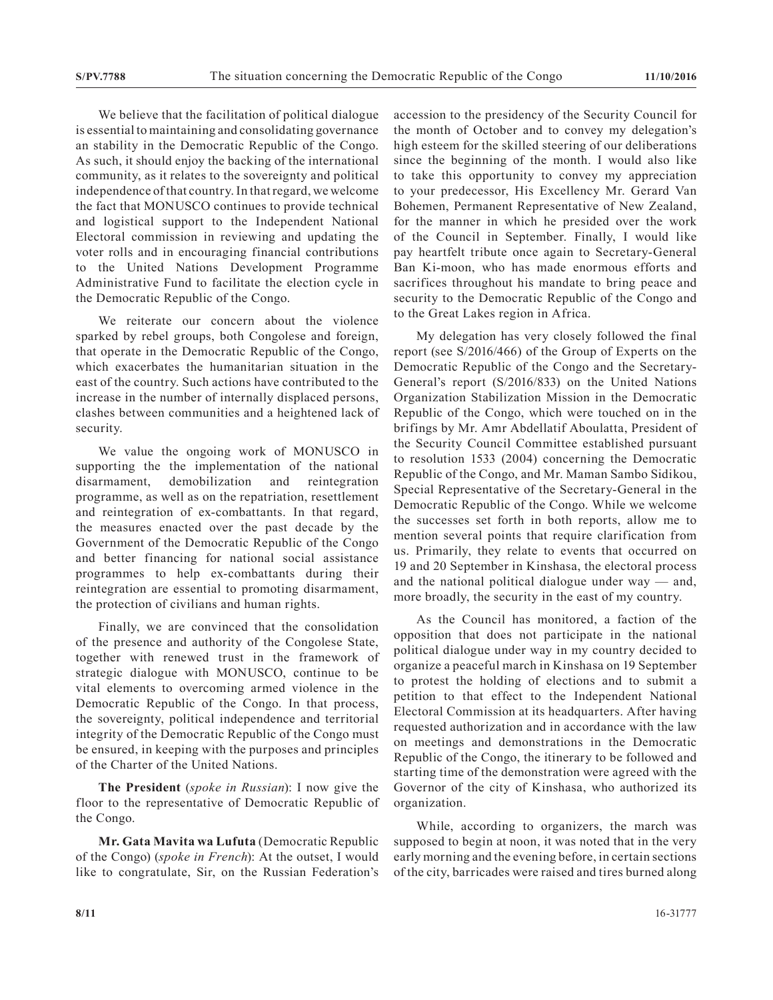We believe that the facilitation of political dialogue is essential to maintaining and consolidating governance an stability in the Democratic Republic of the Congo. As such, it should enjoy the backing of the international community, as it relates to the sovereignty and political independence of that country. In that regard, we welcome the fact that MONUSCO continues to provide technical and logistical support to the Independent National Electoral commission in reviewing and updating the voter rolls and in encouraging financial contributions to the United Nations Development Programme Administrative Fund to facilitate the election cycle in the Democratic Republic of the Congo.

We reiterate our concern about the violence sparked by rebel groups, both Congolese and foreign, that operate in the Democratic Republic of the Congo, which exacerbates the humanitarian situation in the east of the country. Such actions have contributed to the increase in the number of internally displaced persons, clashes between communities and a heightened lack of security.

We value the ongoing work of MONUSCO in supporting the the implementation of the national disarmament, demobilization and reintegration programme, as well as on the repatriation, resettlement and reintegration of ex-combattants. In that regard, the measures enacted over the past decade by the Government of the Democratic Republic of the Congo and better financing for national social assistance programmes to help ex-combattants during their reintegration are essential to promoting disarmament, the protection of civilians and human rights.

Finally, we are convinced that the consolidation of the presence and authority of the Congolese State, together with renewed trust in the framework of strategic dialogue with MONUSCO, continue to be vital elements to overcoming armed violence in the Democratic Republic of the Congo. In that process, the sovereignty, political independence and territorial integrity of the Democratic Republic of the Congo must be ensured, in keeping with the purposes and principles of the Charter of the United Nations.

**The President** (*spoke in Russian*): I now give the floor to the representative of Democratic Republic of the Congo.

**Mr. Gata Mavita wa Lufuta** (Democratic Republic of the Congo) (*spoke in French*): At the outset, I would like to congratulate, Sir, on the Russian Federation's accession to the presidency of the Security Council for the month of October and to convey my delegation's high esteem for the skilled steering of our deliberations since the beginning of the month. I would also like to take this opportunity to convey my appreciation to your predecessor, His Excellency Mr. Gerard Van Bohemen, Permanent Representative of New Zealand, for the manner in which he presided over the work of the Council in September. Finally, I would like pay heartfelt tribute once again to Secretary-General Ban Ki-moon, who has made enormous efforts and sacrifices throughout his mandate to bring peace and security to the Democratic Republic of the Congo and to the Great Lakes region in Africa.

My delegation has very closely followed the final report (see S/2016/466) of the Group of Experts on the Democratic Republic of the Congo and the Secretary-General's report (S/2016/833) on the United Nations Organization Stabilization Mission in the Democratic Republic of the Congo, which were touched on in the brifings by Mr. Amr Abdellatif Aboulatta, President of the Security Council Committee established pursuant to resolution 1533 (2004) concerning the Democratic Republic of the Congo, and Mr. Maman Sambo Sidikou, Special Representative of the Secretary-General in the Democratic Republic of the Congo. While we welcome the successes set forth in both reports, allow me to mention several points that require clarification from us. Primarily, they relate to events that occurred on 19 and 20 September in Kinshasa, the electoral process and the national political dialogue under way — and, more broadly, the security in the east of my country.

As the Council has monitored, a faction of the opposition that does not participate in the national political dialogue under way in my country decided to organize a peaceful march in Kinshasa on 19 September to protest the holding of elections and to submit a petition to that effect to the Independent National Electoral Commission at its headquarters. After having requested authorization and in accordance with the law on meetings and demonstrations in the Democratic Republic of the Congo, the itinerary to be followed and starting time of the demonstration were agreed with the Governor of the city of Kinshasa, who authorized its organization.

While, according to organizers, the march was supposed to begin at noon, it was noted that in the very early morning and the evening before, in certain sections of the city, barricades were raised and tires burned along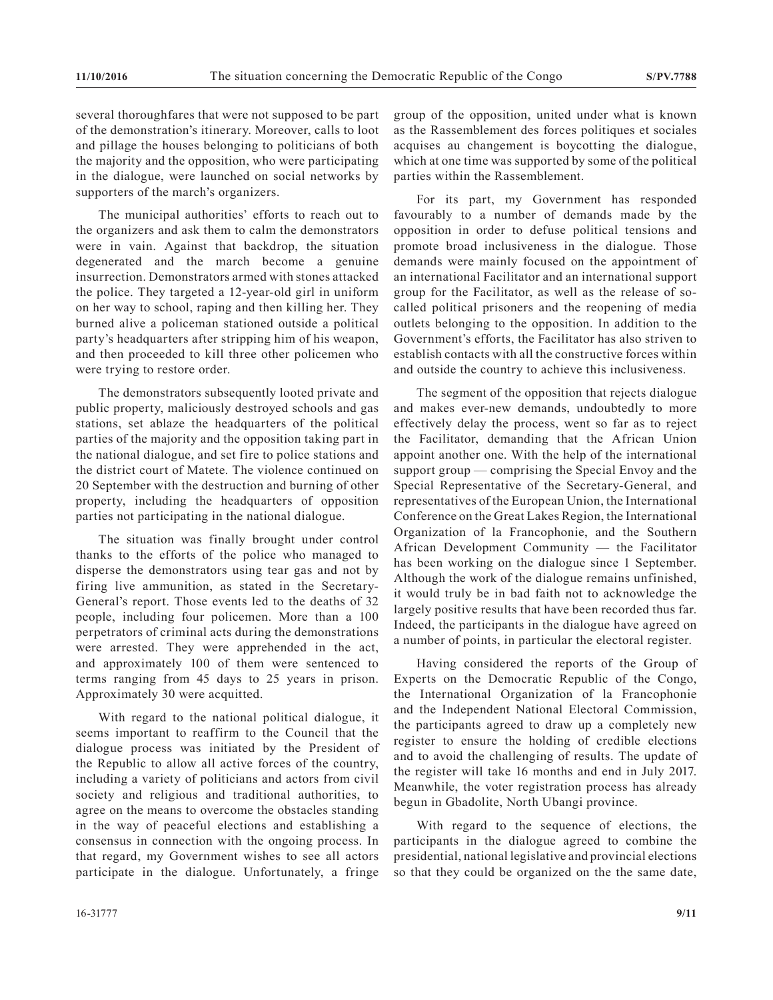several thoroughfares that were not supposed to be part of the demonstration's itinerary. Moreover, calls to loot and pillage the houses belonging to politicians of both the majority and the opposition, who were participating in the dialogue, were launched on social networks by supporters of the march's organizers.

The municipal authorities' efforts to reach out to the organizers and ask them to calm the demonstrators were in vain. Against that backdrop, the situation degenerated and the march become a genuine insurrection. Demonstrators armed with stones attacked the police. They targeted a 12-year-old girl in uniform on her way to school, raping and then killing her. They burned alive a policeman stationed outside a political party's headquarters after stripping him of his weapon, and then proceeded to kill three other policemen who were trying to restore order.

The demonstrators subsequently looted private and public property, maliciously destroyed schools and gas stations, set ablaze the headquarters of the political parties of the majority and the opposition taking part in the national dialogue, and set fire to police stations and the district court of Matete. The violence continued on 20 September with the destruction and burning of other property, including the headquarters of opposition parties not participating in the national dialogue.

The situation was finally brought under control thanks to the efforts of the police who managed to disperse the demonstrators using tear gas and not by firing live ammunition, as stated in the Secretary-General's report. Those events led to the deaths of 32 people, including four policemen. More than a 100 perpetrators of criminal acts during the demonstrations were arrested. They were apprehended in the act, and approximately 100 of them were sentenced to terms ranging from 45 days to 25 years in prison. Approximately 30 were acquitted.

With regard to the national political dialogue, it seems important to reaffirm to the Council that the dialogue process was initiated by the President of the Republic to allow all active forces of the country, including a variety of politicians and actors from civil society and religious and traditional authorities, to agree on the means to overcome the obstacles standing in the way of peaceful elections and establishing a consensus in connection with the ongoing process. In that regard, my Government wishes to see all actors participate in the dialogue. Unfortunately, a fringe

group of the opposition, united under what is known as the Rassemblement des forces politiques et sociales acquises au changement is boycotting the dialogue, which at one time was supported by some of the political parties within the Rassemblement.

For its part, my Government has responded favourably to a number of demands made by the opposition in order to defuse political tensions and promote broad inclusiveness in the dialogue. Those demands were mainly focused on the appointment of an international Facilitator and an international support group for the Facilitator, as well as the release of socalled political prisoners and the reopening of media outlets belonging to the opposition. In addition to the Government's efforts, the Facilitator has also striven to establish contacts with all the constructive forces within and outside the country to achieve this inclusiveness.

The segment of the opposition that rejects dialogue and makes ever-new demands, undoubtedly to more effectively delay the process, went so far as to reject the Facilitator, demanding that the African Union appoint another one. With the help of the international support group — comprising the Special Envoy and the Special Representative of the Secretary-General, and representatives of the European Union, the International Conference on the Great Lakes Region, the International Organization of la Francophonie, and the Southern African Development Community — the Facilitator has been working on the dialogue since 1 September. Although the work of the dialogue remains unfinished, it would truly be in bad faith not to acknowledge the largely positive results that have been recorded thus far. Indeed, the participants in the dialogue have agreed on a number of points, in particular the electoral register.

Having considered the reports of the Group of Experts on the Democratic Republic of the Congo, the International Organization of la Francophonie and the Independent National Electoral Commission, the participants agreed to draw up a completely new register to ensure the holding of credible elections and to avoid the challenging of results. The update of the register will take 16 months and end in July 2017. Meanwhile, the voter registration process has already begun in Gbadolite, North Ubangi province.

With regard to the sequence of elections, the participants in the dialogue agreed to combine the presidential, national legislative and provincial elections so that they could be organized on the the same date,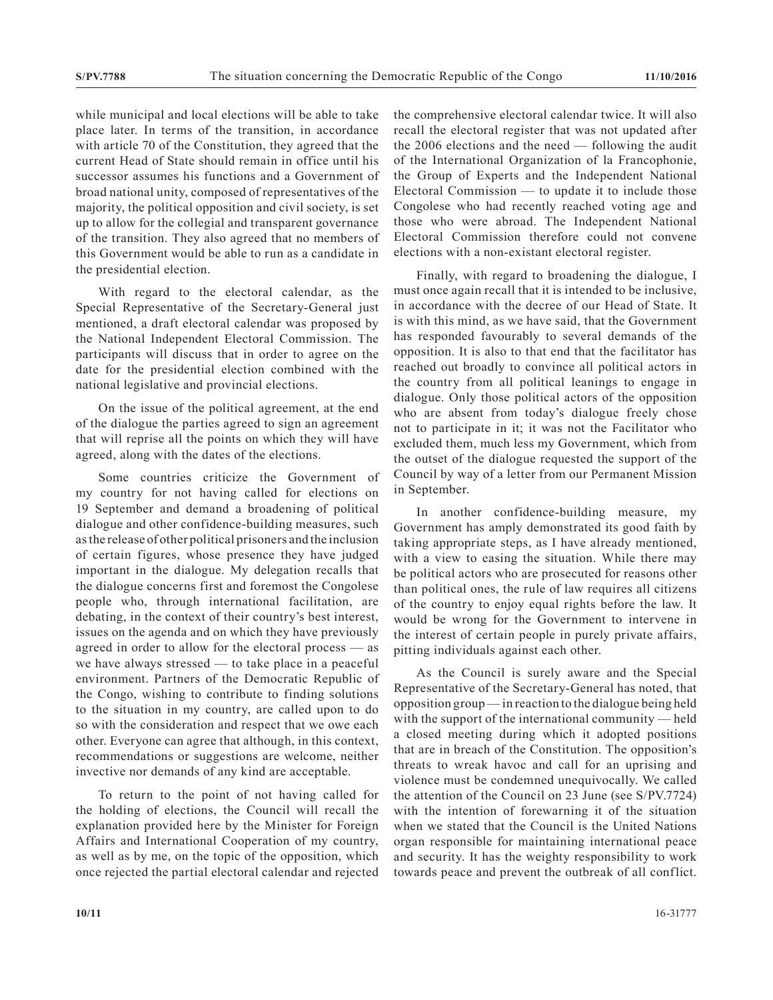while municipal and local elections will be able to take place later. In terms of the transition, in accordance with article 70 of the Constitution, they agreed that the current Head of State should remain in office until his successor assumes his functions and a Government of broad national unity, composed of representatives of the majority, the political opposition and civil society, is set up to allow for the collegial and transparent governance of the transition. They also agreed that no members of this Government would be able to run as a candidate in the presidential election.

With regard to the electoral calendar, as the Special Representative of the Secretary-General just mentioned, a draft electoral calendar was proposed by the National Independent Electoral Commission. The participants will discuss that in order to agree on the date for the presidential election combined with the national legislative and provincial elections.

On the issue of the political agreement, at the end of the dialogue the parties agreed to sign an agreement that will reprise all the points on which they will have agreed, along with the dates of the elections.

Some countries criticize the Government of my country for not having called for elections on 19 September and demand a broadening of political dialogue and other confidence-building measures, such as the release of other political prisoners and the inclusion of certain figures, whose presence they have judged important in the dialogue. My delegation recalls that the dialogue concerns first and foremost the Congolese people who, through international facilitation, are debating, in the context of their country's best interest, issues on the agenda and on which they have previously agreed in order to allow for the electoral process — as we have always stressed — to take place in a peaceful environment. Partners of the Democratic Republic of the Congo, wishing to contribute to finding solutions to the situation in my country, are called upon to do so with the consideration and respect that we owe each other. Everyone can agree that although, in this context, recommendations or suggestions are welcome, neither invective nor demands of any kind are acceptable.

To return to the point of not having called for the holding of elections, the Council will recall the explanation provided here by the Minister for Foreign Affairs and International Cooperation of my country, as well as by me, on the topic of the opposition, which once rejected the partial electoral calendar and rejected the comprehensive electoral calendar twice. It will also recall the electoral register that was not updated after the 2006 elections and the need — following the audit of the International Organization of la Francophonie, the Group of Experts and the Independent National Electoral Commission — to update it to include those Congolese who had recently reached voting age and those who were abroad. The Independent National Electoral Commission therefore could not convene elections with a non-existant electoral register.

Finally, with regard to broadening the dialogue, I must once again recall that it is intended to be inclusive, in accordance with the decree of our Head of State. It is with this mind, as we have said, that the Government has responded favourably to several demands of the opposition. It is also to that end that the facilitator has reached out broadly to convince all political actors in the country from all political leanings to engage in dialogue. Only those political actors of the opposition who are absent from today's dialogue freely chose not to participate in it; it was not the Facilitator who excluded them, much less my Government, which from the outset of the dialogue requested the support of the Council by way of a letter from our Permanent Mission in September.

In another confidence-building measure, my Government has amply demonstrated its good faith by taking appropriate steps, as I have already mentioned, with a view to easing the situation. While there may be political actors who are prosecuted for reasons other than political ones, the rule of law requires all citizens of the country to enjoy equal rights before the law. It would be wrong for the Government to intervene in the interest of certain people in purely private affairs, pitting individuals against each other.

As the Council is surely aware and the Special Representative of the Secretary-General has noted, that opposition group — in reaction to the dialogue being held with the support of the international community — held a closed meeting during which it adopted positions that are in breach of the Constitution. The opposition's threats to wreak havoc and call for an uprising and violence must be condemned unequivocally. We called the attention of the Council on 23 June (see S/PV.7724) with the intention of forewarning it of the situation when we stated that the Council is the United Nations organ responsible for maintaining international peace and security. It has the weighty responsibility to work towards peace and prevent the outbreak of all conflict.